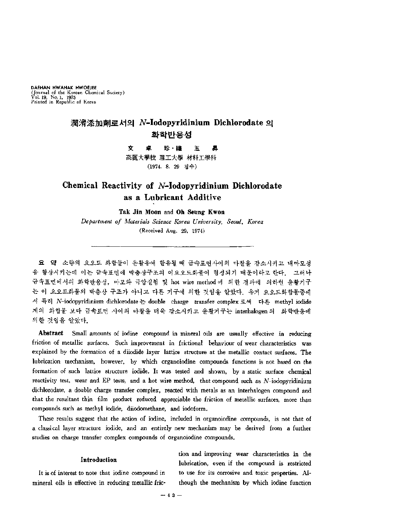**DAEHAN HWAHAK HWOEJEE** (Journal of the Korean Chemical Society) Vol. 19, No.l, 1975 Printed in Republic of Korea

# 潤滑添加劑로서의 **A^-Iodopyridinium Dichlorodate** 화학반응성

文 卓 珍·權 五 昇 高麗大學校 理工大學 材料工學科 (1974. 8. 29 접수)

# **Chemical Reactivity of 7V-Iodopyridinium Dichlorodate as a Lubricant Additive**

**Tak Jin Moon** and **Oh Seung Kwon**

*Department of Materials Science Korea University<sup>i</sup> Seoul, Korea* (Received Aug. 29, 1974)

요 약 소량의 요오드 화합물이 윤활유에 함유될 때 금속표면사이의 마찰을 감소시키고 내마모성 율 향상시키는데 이는 금속표면에 박층상구조의 이요오드화물이 형성되기 때문이라고 한다. \_ 그러나 금속표면에서의 화학반응성, 마모와 극압실험 및 hot wire method 에 의한 결과에 의하면 윤활기구 는 이 요오드화물의 박층상 구조가 아니고 다른 기구에 의한 것임을 알았다. 유기 요오드화합물중에 서 특히 N-iodopyridinium dichlorodate 는 double charge transfer complex 로써 다른 methyl iodide 계의 화합물 보다 금속표면 사이의 마찰을 더욱 감소시키고 윤활기구는 interhalogen의 -화학반응에 의한 것임을 알았다.

**Abstract** Small amounts of iodine compound in mineral oils are usually effective in reducing friction of metallic surfaces. Such improvement in frictional behaviour of wear characteristics was explained by the formation of a diiodide layer lattice structure at the metallic contact surfaces. The lubrication mechanism, however, by which organoiodine compounds functions is not based on the formation of such lattice structure iodide. It was tested and shown, by a static surface chemical reactivity test, wear and EP tests, and a hot wire method, that compound such as  $N$ -iodopyridinium dichlorodate, a double charge transfer complex, reacted with metals as an interhalogen compound and that the resultant thin film product reduced appreciable the friction of metallic surfaces, more than compounds such as methyl iodide, diiodomethane, and iodoform.

These results suggest that the action of iodine, included in organoiodine compounds, is not that of a classical layer structure iodide, and an entirely new mechanism may be derived from a further studies on charge transfer complex compounds of organoiodine compounds.

mineral oils is effective in reducing metallic fric- though the mechanism by which iodine function

tion and improving wear characteristics in the Intr**oduction** in the compound is restricted<br>Intr**oduction** is estricted<br>Iubrication, even if the compound is restricted It is of interest to note that iodine compound in to use for its corrosive and toxic properties. Al-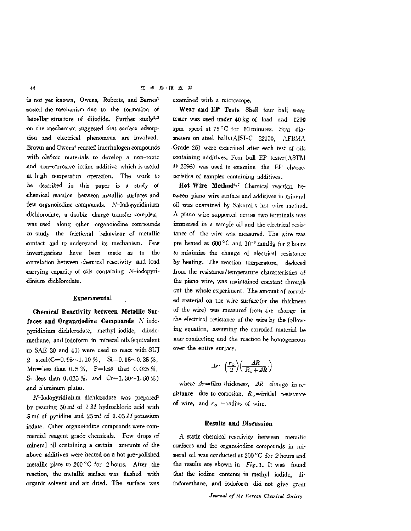us not yet known, Owens, Roberts, and Barnes<sup>1</sup> stated the mechanism due to the formation of lamellar structure of diiodide. Further study<sup>2,3</sup> on the mechanism suggested that surface adsorption and electrical phenomena are involved. Brown and Owens<sup>4</sup> reacted interhalogen compounds with olefinic materials to develop a non-toxic *and* non-corrosive iodine additive which is useful at high temperature operation. The work to be described in this paper is a study of chemical reaction between metallic surfaces and few organoiodine compounds.  $N$ -lodopyridinium dichlorodate, a double charge transfer complex, was used along other organoiodine compounds to study the frictional behaviour of metallic contact and to understand its mechanism. Few investigations have been made as to the correlation between chemical reactivity and load carrying capacity of oils containing  $N$ -iodopyridinium dichlorodate.

# **Experimental**

**Chemical Reactivity between Metallic Surfaces and Organoiodine Compounds** N-iodopyridinium dichlorodate, methyl iodide, diiodoinethane, and iodoform in mineral oils(equivalent to SAE 30 and 40) were used to react with SUJ 2 steel(C= $0.95 \sim 1.10 \text{ W}$ , Si= $0.15 \sim 0.35 \text{ W}$ , Mn=less than  $0.5\%$ , P=less than  $0.025\%$ , S—less than  $0.025\%$ , and  $Cr=1.30 \sim 1.60\%$ ) and aluminum plates.

A-Iodopyridinium dichlorodate was prepared<sup>5</sup> by reacting 50 ml of 2 M hydrochloric acid with  $5 \text{ m}$ l of pyridine and  $25 \text{ m}$ l of 0.05  $M$  potassium iodate. Other organoiodine compounds were commercial reagent grade chemicals. Few drops of mineral oil containing a certain amounts of the above additives were heated on a hot pre-polished metallic plate to 200 °C for 2 hours. After the reaction, the metallic surface was flushed with organic solvent and air dried. The surface was

examined with a microscope.

**Wear and EP Tests** Shell four ball wear tester was used under 40 kg of load and 1200 **rpm** speed at 75 °C for 10 minutes. Scar diameters on steel balls(AISI-C 52100, AFBMA Grade 25) were examined after each test of oils containing additives. Four ball EP tester (ASTM D 2596) was used to examine the EP characteristics of samples containing additives.

**Hot Wire Method<sup>6</sup>\*<sup>7</sup>** Chemical reaction between piano wire surface and additives in mineral oil was examined by Sakurai s hot wire method. A piano wire supported across two terminals was immersed in a sample oil and the electrical resistance of the wire was measured. The wire was pre-heated at 600 °C and 10-4 mmHg for *2* hours to minimize the change of electrical resistance by heating. The reaction temperature, deduced from the resistance/temperature characteristics of the piano wire, was maintained constant through out the whole experiment. The amount of corroded material on the wire surface (or the thickness of the wire) was measured from the change in the electrical resistance of the wire by the following equation, assuming the corroded material be non-conducting and the reaction be homogeneous over the entire surface.

$$
\mathit{Jr} = \left(\frac{r_{\circ}}{2}\right) \left(\frac{\mathit{A}R}{R_{\circ} + \mathit{A}R}\right)
$$

where  $\Delta r$ =film thickness,  $\Delta R$ =change in resistance due to corrosion,  $R_0$ =initial resistance of wire, and  $r_0$  =radius of wire.

## **Results and Discussion**

A static chemical reactivity between metallic surfaces and the organoiodine compounds in mineral oil was conducted at 200 °C for 2 hours and the results are shown in *Fig.l.* It was found that the iodine contents in methyl iodide, diiodomethane, and iodoform did not give great

*Journal of the Korean Chemical Society*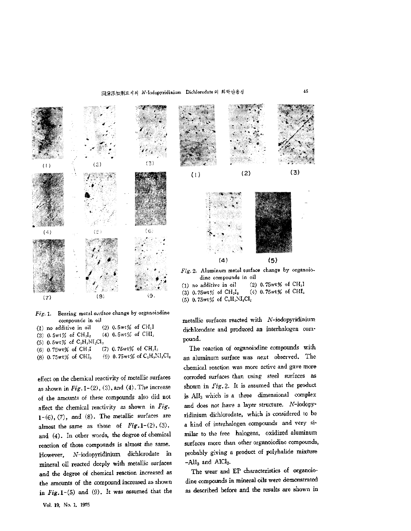$\overline{3}$  $(1)$  $\mathbf{r}$  $\left( \frac{\pi}{2} \right)$  $(6)$  $(4)$ 9,  $(a)$  $(7)$ 

*Fig.* 1. Bearing metal surface change by organoiodine compounds in oil

| $(1)$ no additive in oil |  | (2) 0.5wt% of CH <sub>2</sub> |  |
|--------------------------|--|-------------------------------|--|

```
(3) 0.5wt% of CH_2I_2 (4) 0.5wt% of CHI_3
```

```
(5) 0.5wt\% of C_5H_5NI_2Cl_2
```

```
(6) 0.75wt% of CH<sub>3</sub>I (7) 0.75wt% of CH<sub>2</sub>I<sub>2</sub>
```

```
(8) 0. 75wt% of CHI<sub>3</sub> (9) 0. 75wt% of C<sub>5</sub>H<sub>5</sub>NI<sub>2</sub>CI<sub>2</sub>
```
effect on the chemical reactivity of metallic surfaces as shown in *Fig.* 1-(2), (3), and (4). The increase of the amounts of these compounds also did not affect the chemical reactivity as shown in *Fig.*  $1-(6)$ ,  $(7)$ , and  $(8)$ . The metallic surfaces are almost the same as those of  $Fig. 1-(2), (3),$ and (4). In other words, the degree of chemical reaction, of those compounds is almost the same. However, N-iodopyridinium dichlorodate in mineral oil reacted deeply with metallic surfaces and the degree of chemical reaction increased as the amounts of the compound increased as shown in  $Fig. 1-(5)$  and  $(9)$ . It was assumed that the



(5) 0. 75wt % of  $C_5H_5NI_2Cl_2$ 

metallic surfaces reacted with  $N$ -iodopyridinium dichlorodate and produced an interhalogen compound.

The reaction of organoiodine compounds with an aluminum surface was next observed. The chemical reaction was more active and gave more corroded surfaces than using steel surfaces as shown in *Fig.* 2. It is assumed that the product is AII<sub>3</sub> which is a three dimensional complex and does not have a layer structure.  $N$ -iodopyridinium dichlorodate, which is considered to b a kind of interhalogen compounds and very similar to the free halogens, oxidized aluminum surfaces more than other organoiodine compounds, probably giving a product of polyhaiide mixture  $-AII<sub>3</sub>$  and  $AICI<sub>3</sub>$ .

The wear and EP characteristics of organoiodine compounds in mineral oils were demonstrated as described before and the results are shown in



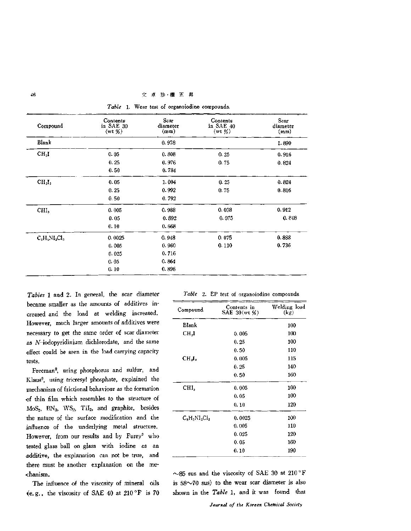### <sup>46</sup> 文卓珍•權五昇

| Compound                       | Contents<br>in SAE 30<br>$(wt \mathcal{K})$ | Scar<br>diameter<br>(mm) | Contents<br>in $SAE$ 40<br>(wt %) | Scar<br>diameter<br>(mm) |
|--------------------------------|---------------------------------------------|--------------------------|-----------------------------------|--------------------------|
| Blank                          |                                             | 0.978                    |                                   | 1.890                    |
| CH <sub>3</sub> I              | 0.05                                        | 0.808                    | 0.25                              | 0.916                    |
|                                | 0.25                                        | 0.976                    | 0.75                              | 0.824                    |
|                                | 0.50                                        | 0.784                    |                                   |                          |
| CH <sub>2</sub> I <sub>3</sub> | 0.05                                        | 1.004                    | 0.25                              | 0.824                    |
|                                | 0.25                                        | 0.992                    | 0.75                              | 0.816                    |
|                                | 0.50                                        | 0.792                    |                                   |                          |
| CHI <sub>3</sub>               | 0.005                                       | 0.988                    | 0.038                             | 0.912                    |
|                                | 0.05                                        | 0.892                    | 0.075                             | 0.848                    |
|                                | 0.10                                        | 0.668                    |                                   |                          |
| $C_5H_5NI_2Cl_3$               | 0.0025                                      | 0.948                    | 0.075                             | 0.888                    |
|                                | 0.005                                       | 0.960                    | 0.110                             | 0.736                    |
|                                | 0.025                                       | 0.716                    |                                   |                          |
|                                | 0.05                                        | 0.864                    |                                   |                          |
|                                | 0.10                                        | 0.896                    |                                   |                          |

*Table* 1. Wear test of organoiodine compounds.

*Tables* <sup>1</sup> and 2. In general, the scar diameter *Table 2.* EP test of organoiodine compounds became smaller as the amounts of additives increased and the load at welding increased. However, much larger amounts of additives were necessary to get the same order of scar diameter as *N*-iodopyridinium dichlorodate, and the same effect could be seen in the load carrying capacity

Freeman<sup>8</sup>, using phosphorus and sulfur, and Klaus9, using tricresyl phosphate, explained the mechanism of frictional behaviour as the formation of thin film which resembles to the structure of  $MoS<sub>2</sub>, BN<sub>3</sub>, WS<sub>2</sub>, TiI<sub>2</sub>, and graphite, besides$ the nature of the surface modification and the influence of the underlying metal structure. However, from our results and by  $Furey^2$  who tested glass ball on glass with iodine as an additive, the explanation can not be true, and there must be another explanation on the me chanism.  $\sim$ 85 sus and the viscosity of SAE 30 at 210 °F

| became smaller as the amounts of additives in-<br>creased and the load at welding increased. | Compound          | Contents in<br>SAE $30(wt \%)$ | Welding load<br>(kg) |
|----------------------------------------------------------------------------------------------|-------------------|--------------------------------|----------------------|
| However, much larger amounts of additives were                                               | Blank             |                                | 100                  |
| necessary to get the same order of scar diameter                                             | CH <sub>3</sub> I | 0.005                          | 100                  |
| as N-iodopyridinium dichlorodate, and the same                                               |                   | 0, 25                          | 100                  |
| effect could be seen in the load carrying capacity                                           |                   | 0.50                           | 110                  |
| tests.                                                                                       | $CH_2I_2$         | 0.005                          | 115                  |
| Freeman <sup>8</sup> , using phosphorus and sulfur, and                                      |                   | 0.25                           | 140                  |
| Klaus <sup>9</sup> , using tricresyl phosphate, explained the                                |                   | 0.50                           | 160                  |
| mechanism of frictional behaviour as the formation                                           | CHI <sub>a</sub>  | 0.005                          | 100 <sub>1</sub>     |
| of thin film which resembles to the structure of                                             |                   | 0.05                           | 100                  |
| $\text{MoS}_2$ , $\text{EN}_3$ , $\text{WS}_3$ , $\text{TI}_2$ , and graphite, besides       |                   | 0.10                           | 120                  |
| the nature of the surface modification and the                                               | $CsHsNIsCl2$      | 0.0025                         | 100                  |
| influence of the underlying metal structure.                                                 |                   | 0.005                          | 110                  |
| However, from our results and by Furey <sup>2</sup> who                                      |                   | 0.025                          | 120                  |
| tested glass ball on glass with iodine as an                                                 |                   | 0.05                           | 160                  |
| additive, the explanation can not be true, and                                               |                   | 0.10                           | 190                  |
| there must be another explanation on the me-                                                 |                   |                                |                      |

The influence of the viscosity of mineral oils is <sup>58</sup>〜<sup>70</sup> sus) to the wear scar diameter is also (e.g., the viscosity of SAE 40 at  $210^{\circ}$ F is 70 shown in the *Table* 1, and it was found that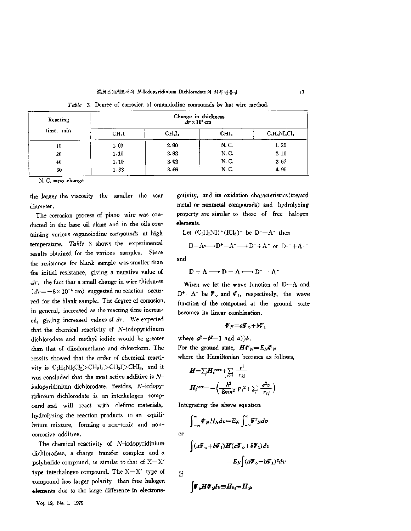| Reacting  | Change in thickness<br>$Ar \times 10^{5}$ cm |                                |                  |                  |
|-----------|----------------------------------------------|--------------------------------|------------------|------------------|
| time, min | CH <sub>3</sub> I                            | CH <sub>2</sub> I <sub>2</sub> | CHI <sub>3</sub> | $C_5H_5NI_2Cl_2$ |
| 10        | 1.03                                         | 2 90                           | N.C.             | 1.30             |
| 20        | 1.10                                         | 2.92                           | N.C.             | 2.10             |
| 40        | 1.10                                         | 2.02                           | N. C.            | 2.67             |
| 60        | 1.33                                         | 3.66                           | N. C.            | 4.95             |

*Table* 3. Degree of corrosion of organoiodine compounds by hot wire method.

N. C. = no change

the larger the viscosity the smaller the scar diameter.

The corrosion process of piano wire was conducted in the base oil alone and in the oils containing various organoiodine compounds at high temperature. *Table* 3 shows the experimental results obtained for the various samples. Since the resistance for blank sample was smaller than the initial resistance, giving a negative value of  $\Delta r$ , the fact that a small change in wire thickness  $(Ar = -6 \times 10^{-4}$  cm) suggested no reaction occurred for the blank sample. The degree of corrosion, in general, increased as the reacting time increased, giving increased values of  $\Delta r$ . We expected that the chemical reactivity of  $N$ -iodopyridinum dichlorodate and methyl iodide would be greater than that of diiodomethane and chloroform. The results showed that the order of chemical reactivity is  $C_5H_5NI_2Cl_2$ >CH<sub>2</sub>I<sub>2</sub>>CH<sub>3</sub>I>CH<sub>3</sub>, and it was concluded that the most active additive is *N*iodopyridinium dichlorodate. Besides, N-iodopyridinium dichlorodate is an interhalogen compound and will react with olefinic materials, hydrolyzing the reaction products to an equilibrium mixture, forming a non-toxic and noncorrosive additive.

The chemical reactivity of N—iodopyridinium dichlorodate, a charge transfer complex and a polyhalide compound, is similar to that of  $X - X'$ type interhalogen compound. The X—X' type of compound has larger polarity than free halogen elements due to the large difference in electrone-

gativity, and its oxidation characteristics(toward metal or nonmetal compounds) and hydrolyzing property are similar to those of free halogen elements.

Let  $(C_5H_5NI)^+(ICl_2)^-$  be  $D^+-A^-$  then

$$
D-A \longleftrightarrow D^+-A^-\longrightarrow D^++A^- \text{ or } D^++A^+
$$

and

$$
D + A \longrightarrow D - A \longleftarrow D^+ + A^-
$$

When we let the wave function of D—A and  $D^+ + A^-$  be  $\mathbf{F}_0$  and  $\mathbf{F}_1$ , respectively, the wave function of the compound at the ground state becomes its linear combination.

$$
\psi_N = a \psi_{\alpha} + b \psi_1
$$

where  $a^2 + b^2 = 1$  and  $a \rangle b$ . For the ground state,  $H \psi_N = E_N \psi_N$ 

where the Hamiltonian becomes as follows,  
\n
$$
H = \sum_{i} H_{i}^{\text{core}} + \sum_{i \geq j} \frac{e^{2}}{r_{ij}}
$$
\n
$$
H_{i}^{\text{core}} = -\left(\frac{h^{2}}{8m\pi^{2}}\nabla_{i}^{2} + \sum_{i} \frac{e^{2}z}{r_{ij}}\right)
$$

Integrating the above equation

$$
\int_{-\infty}^{\infty} \oint_{N} H_{N} dv = E_{N} \int_{-\infty}^{\infty} \oint_{-\infty}^{2} dx
$$
  
or  

$$
\int (a \oint_{\infty} + b \oint_{1}) H (a \oint_{\infty} + b \oint_{1}) dv
$$

$$
= E_{N} \int (a \oint_{\infty} + b \oint_{1})^{2} dv
$$
If  

$$
\oint_{\infty} \oint_{\infty} H \oint_{1} dv = H_{01} = H_{10}
$$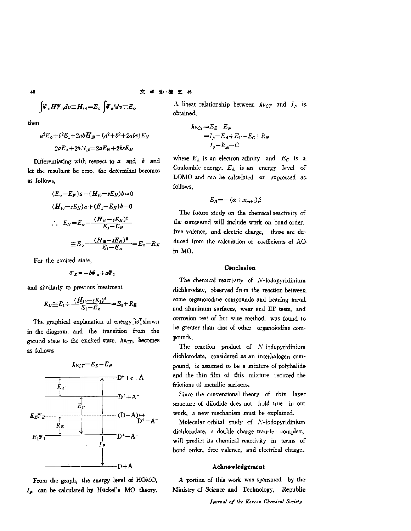### <sup>48</sup> 文卓珍•權五昇

$$
\int d^{\mathbf{r}}\cdot H d^{\mathbf{r}}\cdot d\mathbf{v} \equiv H_{00} = E_{\mathbf{0}}\int d^{\mathbf{r}}\cdot d^{\mathbf{r}}\mathbf{v} \equiv E_{\mathbf{0}}
$$

then

 $a^2E_o + b^2E_1 + 2abH_{10} = (a^2 + b^2 + 2abs)E_N$ *2aEo+2bHio=2qEn+2bsEN*

Differentiating with respect to *a* and *b* and let the resultant be zero, the determiant becomes as follows,

$$
(E_{\circ}-E_{N})a + (H_{10}-sE_{N})b = 0
$$
  
\n
$$
(H_{10}-sE_{N})a + (E_{1}-E_{N})b = 0
$$
  
\n
$$
\therefore E_{N}=E_{\circ}-\frac{(H_{10}-sE_{N})^{2}}{E_{1}-E_{N}}
$$
  
\n
$$
\cong E_{\circ}-\frac{(H_{10}-sE_{N})^{2}}{E_{1}-E_{\circ}}=E_{\circ}-R_{N}
$$

For the excited state,

$$
\mathbf{F}_E = -b\mathbf{F}_o + a\mathbf{F}_1
$$

and similarly to previous treatment

$$
E_N \cong E_1 + \frac{(H_{10} - sE_1)^2}{E_1 - E_o} = E_1 + R_E
$$

The graphical explanation of energy is shown in the diagram, and the transition from the ground state to the excited state,  $h\nu_{CT}$ , becomes as follows



From the graph, the energy level of HOMO,  $I_p$ , can be calculated by Hückel's MO theory. A linear relationship between  $hv_{CT}$  and  $I_p$  is obtained,

$$
h\nu_{CT} = E_E - E_N
$$
  
=  $I_p - E_A + E_C - E_C + R_N$   
=  $I_p - E_A - C$ 

where  $E_A$  is an electron affinity and  $E_C$  is a Coulombic energy. *Ea* is an energy level of LOMO and can be calculated or expressed asfollows,

$$
E_A = -(\alpha + m_{m+1})\beta
$$

The future study on the chemical reactivity of the compound will include work on bond order, free valence, and electric charge, those are deduced from the calculation of coefficients of AO in MO.

# **Con usion**

The chemical reactivity of  $N$ -iodopyridinium dichlorodate, observed from the reaction between some organoiodine compounds and bearing metal and aluminum surfaces, wear and EP tests, and\_ corrosion test of hot wire method, was found to be greater than that of other organoiodine compounds.

The reaction product of  $N$ -iodopyridinium dichlorodate, considered as an interhalogen compound, is assumed to be a mixture of polyhalide and the thin film of this mixture reduced the frictions of metallic surfaces.

Since the conventional theory of thin layer structure of diiodide does not hold true in our work, a new mechanism must be explained.

Molecular orbital study of N-iodopyridinium dichlorodate, a double charge transfer complex, will predict its chemical reactivity in terms of bond order, free valence, and electrical charge.

# **D+A Achnowledgement**

A portion of this work was sponsored by the Ministry of Science and Technology, Republic